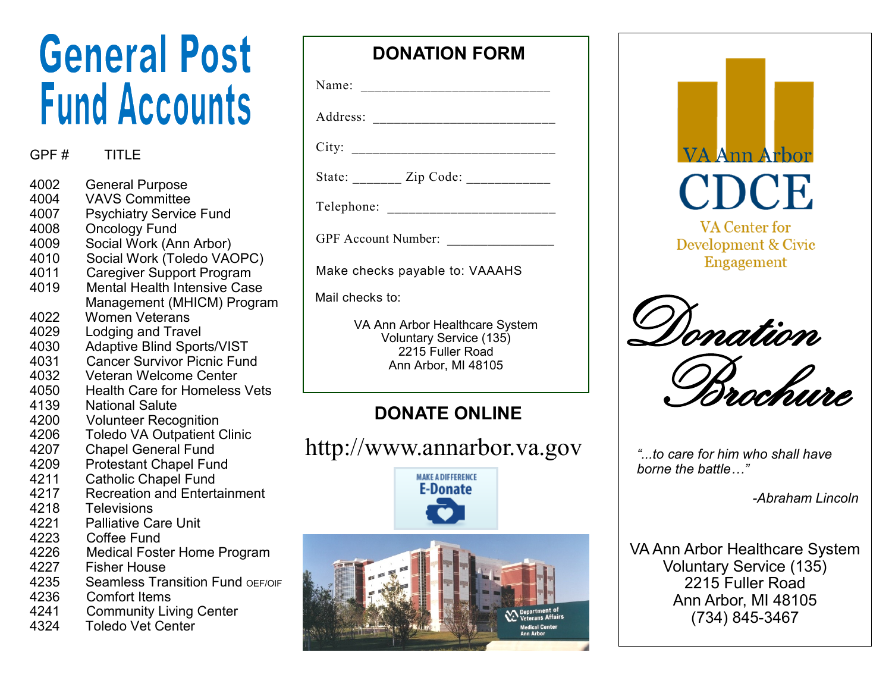# **General Post Fund Accounts**

#### GPF # TITLE

- 4002 General Purpose<br>4004 VAVS Committee
- VAVS Committee
- 4007 Psychiatry Service Fund
- 4008 Oncology Fund<br>4009 Social Work (Ar
- Social Work (Ann Arbor)
- 4010 Social Work (Toledo VAOPC)
- 4011 Caregiver Support Program
- 4019 Mental Health Intensive Case Management (MHICM) Program
- 4022 Women Veterans
- 4029 Lodging and Travel
- 4030 Adaptive Blind Sports/VIST
- 4031 Cancer Survivor Picnic Fund<br>4032 Veteran Welcome Center
- 4032 Veteran Welcome Center
- 4050 Health Care for Homeless Vets<br>4139 National Salute
- National Salute
- 4200 Volunteer Recognition
- 4206 Toledo VA Outpatient Clinic
- 4207 Chapel General Fund<br>4209 Protestant Chapel Fur
- 4209 Protestant Chapel Fund<br>4211 Catholic Chapel Fund
- Catholic Chapel Fund
- 4217 Recreation and Entertainment
- 4218 Televisions
- 4221 Palliative Care Unit
- 4223 Coffee Fund<br>4226 Medical Fost
- Medical Foster Home Program
- 4227 Fisher House
- 4235 Seamless Transition Fund OFF/OIF
- 4236 Comfort Items
- 4241 Community Living Center
- 4324 Toledo Vet Center

#### **DONATION FORM**

| Name:    |           |  |
|----------|-----------|--|
| Address: |           |  |
| City:    |           |  |
| State:   | Zip Code: |  |

Telephone: \_\_\_\_\_\_\_\_\_\_\_\_\_\_\_\_\_\_\_\_\_\_\_\_

GPF Account Number:

Make checks payable to: VAAAHS

Mail checks to:

VA Ann Arbor Healthcare System Voluntary Service (135) 2215 Fuller Road Ann Arbor, MI 48105

### **DONATE ONLINE**

http://www.annarbor.va.gov





Brochure

*"...to care for him who shall have borne the battle…"*

*-Abraham Lincoln*

VA Ann Arbor Healthcare System Voluntary Service (135) 2215 Fuller Road Ann Arbor, MI 48105 (734) 845-3467